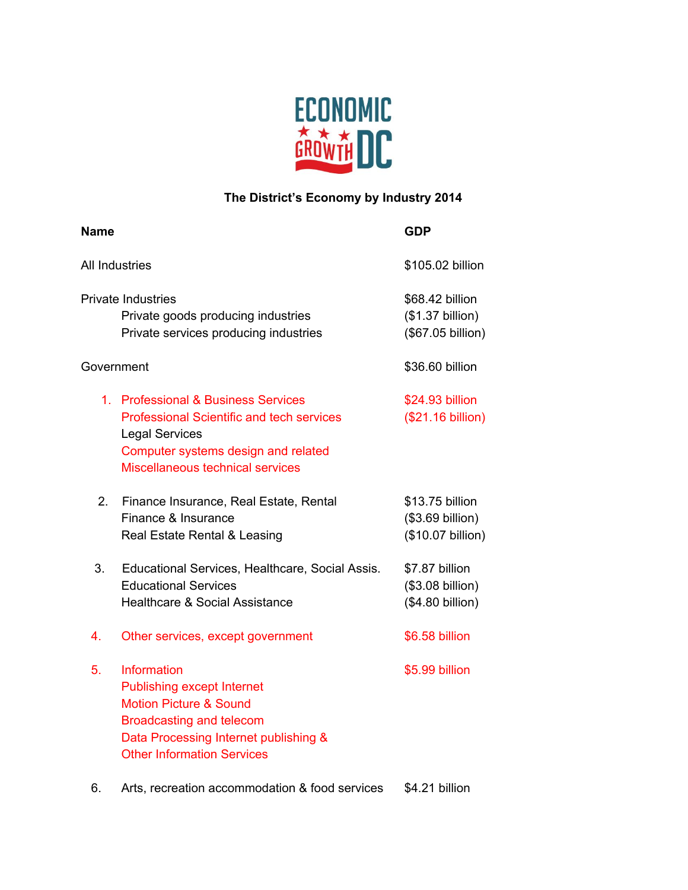

## **The District's Economy by Industry 2014**

| <b>Name</b>                                                                                              |                                                                                                                                                                                                        | <b>GDP</b>                                               |
|----------------------------------------------------------------------------------------------------------|--------------------------------------------------------------------------------------------------------------------------------------------------------------------------------------------------------|----------------------------------------------------------|
| All Industries                                                                                           |                                                                                                                                                                                                        | \$105.02 billion                                         |
| <b>Private Industries</b><br>Private goods producing industries<br>Private services producing industries |                                                                                                                                                                                                        | \$68.42 billion<br>(\$1.37 billion)<br>(\$67.05 billion) |
| Government                                                                                               |                                                                                                                                                                                                        | \$36.60 billion                                          |
|                                                                                                          | 1. Professional & Business Services<br><b>Professional Scientific and tech services</b><br><b>Legal Services</b><br>Computer systems design and related<br>Miscellaneous technical services            | \$24.93 billion<br>(\$21.16 billion)                     |
| 2.                                                                                                       | Finance Insurance, Real Estate, Rental<br>Finance & Insurance<br>Real Estate Rental & Leasing                                                                                                          | \$13.75 billion<br>(\$3.69 billion)<br>(\$10.07 billion) |
| 3.                                                                                                       | Educational Services, Healthcare, Social Assis.<br><b>Educational Services</b><br><b>Healthcare &amp; Social Assistance</b>                                                                            | \$7.87 billion<br>(\$3.08 billion)<br>(\$4.80 billion)   |
| 4.                                                                                                       | Other services, except government                                                                                                                                                                      | \$6.58 billion                                           |
| 5.                                                                                                       | <b>Information</b><br><b>Publishing except Internet</b><br><b>Motion Picture &amp; Sound</b><br>Broadcasting and telecom<br>Data Processing Internet publishing &<br><b>Other Information Services</b> | \$5.99 billion                                           |

6. Arts, recreation accommodation & food services \$4.21 billion